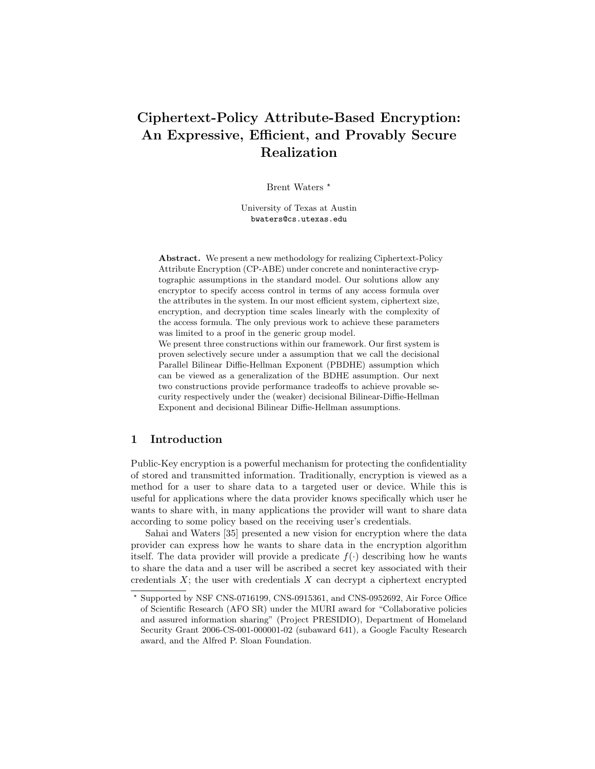# Ciphertext-Policy Attribute-Based Encryption: An Expressive, Efficient, and Provably Secure Realization

Brent Waters  $*$ 

University of Texas at Austin bwaters@cs.utexas.edu

Abstract. We present a new methodology for realizing Ciphertext-Policy Attribute Encryption (CP-ABE) under concrete and noninteractive cryptographic assumptions in the standard model. Our solutions allow any encryptor to specify access control in terms of any access formula over the attributes in the system. In our most efficient system, ciphertext size, encryption, and decryption time scales linearly with the complexity of the access formula. The only previous work to achieve these parameters was limited to a proof in the generic group model.

We present three constructions within our framework. Our first system is proven selectively secure under a assumption that we call the decisional Parallel Bilinear Diffie-Hellman Exponent (PBDHE) assumption which can be viewed as a generalization of the BDHE assumption. Our next two constructions provide performance tradeoffs to achieve provable security respectively under the (weaker) decisional Bilinear-Diffie-Hellman Exponent and decisional Bilinear Diffie-Hellman assumptions.

# 1 Introduction

Public-Key encryption is a powerful mechanism for protecting the confidentiality of stored and transmitted information. Traditionally, encryption is viewed as a method for a user to share data to a targeted user or device. While this is useful for applications where the data provider knows specifically which user he wants to share with, in many applications the provider will want to share data according to some policy based on the receiving user's credentials.

Sahai and Waters [35] presented a new vision for encryption where the data provider can express how he wants to share data in the encryption algorithm itself. The data provider will provide a predicate  $f(\cdot)$  describing how he wants to share the data and a user will be ascribed a secret key associated with their credentials  $X$ ; the user with credentials  $X$  can decrypt a ciphertext encrypted

<sup>?</sup> Supported by NSF CNS-0716199, CNS-0915361, and CNS-0952692, Air Force Office of Scientific Research (AFO SR) under the MURI award for "Collaborative policies and assured information sharing" (Project PRESIDIO), Department of Homeland Security Grant 2006-CS-001-000001-02 (subaward 641), a Google Faculty Research award, and the Alfred P. Sloan Foundation.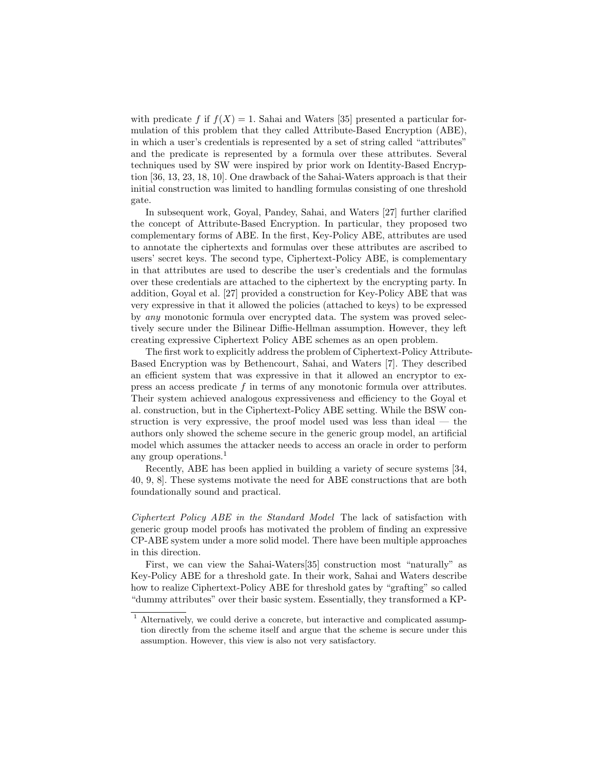with predicate f if  $f(X) = 1$ . Sahai and Waters [35] presented a particular formulation of this problem that they called Attribute-Based Encryption (ABE), in which a user's credentials is represented by a set of string called "attributes" and the predicate is represented by a formula over these attributes. Several techniques used by SW were inspired by prior work on Identity-Based Encryption [36, 13, 23, 18, 10]. One drawback of the Sahai-Waters approach is that their initial construction was limited to handling formulas consisting of one threshold gate.

In subsequent work, Goyal, Pandey, Sahai, and Waters [27] further clarified the concept of Attribute-Based Encryption. In particular, they proposed two complementary forms of ABE. In the first, Key-Policy ABE, attributes are used to annotate the ciphertexts and formulas over these attributes are ascribed to users' secret keys. The second type, Ciphertext-Policy ABE, is complementary in that attributes are used to describe the user's credentials and the formulas over these credentials are attached to the ciphertext by the encrypting party. In addition, Goyal et al. [27] provided a construction for Key-Policy ABE that was very expressive in that it allowed the policies (attached to keys) to be expressed by any monotonic formula over encrypted data. The system was proved selectively secure under the Bilinear Diffie-Hellman assumption. However, they left creating expressive Ciphertext Policy ABE schemes as an open problem.

The first work to explicitly address the problem of Ciphertext-Policy Attribute-Based Encryption was by Bethencourt, Sahai, and Waters [7]. They described an efficient system that was expressive in that it allowed an encryptor to express an access predicate f in terms of any monotonic formula over attributes. Their system achieved analogous expressiveness and efficiency to the Goyal et al. construction, but in the Ciphertext-Policy ABE setting. While the BSW construction is very expressive, the proof model used was less than ideal — the authors only showed the scheme secure in the generic group model, an artificial model which assumes the attacker needs to access an oracle in order to perform any group operations.<sup>1</sup>

Recently, ABE has been applied in building a variety of secure systems [34, 40, 9, 8]. These systems motivate the need for ABE constructions that are both foundationally sound and practical.

Ciphertext Policy ABE in the Standard Model The lack of satisfaction with generic group model proofs has motivated the problem of finding an expressive CP-ABE system under a more solid model. There have been multiple approaches in this direction.

First, we can view the Sahai-Waters[35] construction most "naturally" as Key-Policy ABE for a threshold gate. In their work, Sahai and Waters describe how to realize Ciphertext-Policy ABE for threshold gates by "grafting" so called "dummy attributes" over their basic system. Essentially, they transformed a KP-

<sup>&</sup>lt;sup>1</sup> Alternatively, we could derive a concrete, but interactive and complicated assumption directly from the scheme itself and argue that the scheme is secure under this assumption. However, this view is also not very satisfactory.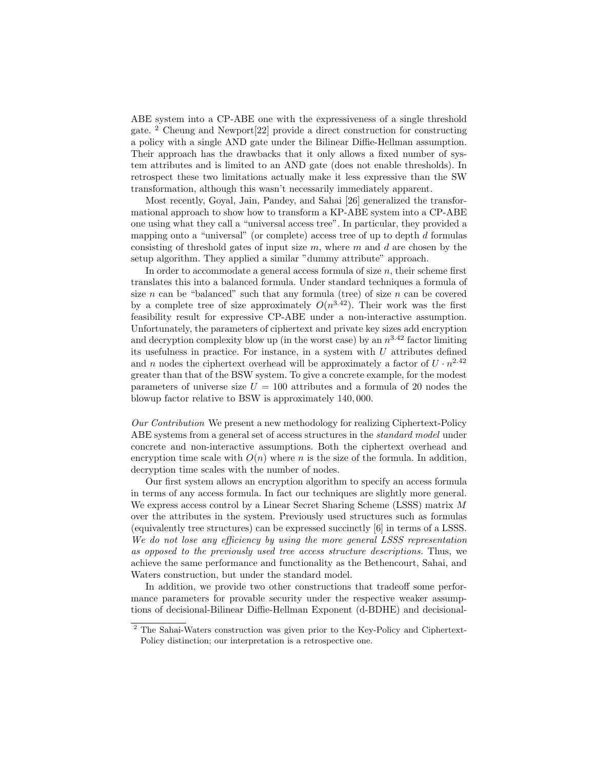ABE system into a CP-ABE one with the expressiveness of a single threshold gate. <sup>2</sup> Cheung and Newport[22] provide a direct construction for constructing a policy with a single AND gate under the Bilinear Diffie-Hellman assumption. Their approach has the drawbacks that it only allows a fixed number of system attributes and is limited to an AND gate (does not enable thresholds). In retrospect these two limitations actually make it less expressive than the SW transformation, although this wasn't necessarily immediately apparent.

Most recently, Goyal, Jain, Pandey, and Sahai [26] generalized the transformational approach to show how to transform a KP-ABE system into a CP-ABE one using what they call a "universal access tree". In particular, they provided a mapping onto a "universal" (or complete) access tree of up to depth d formulas consisting of threshold gates of input size  $m$ , where  $m$  and  $d$  are chosen by the setup algorithm. They applied a similar "dummy attribute" approach.

In order to accommodate a general access formula of size  $n$ , their scheme first translates this into a balanced formula. Under standard techniques a formula of size  $n$  can be "balanced" such that any formula (tree) of size  $n$  can be covered by a complete tree of size approximately  $O(n^{3.42})$ . Their work was the first feasibility result for expressive CP-ABE under a non-interactive assumption. Unfortunately, the parameters of ciphertext and private key sizes add encryption and decryption complexity blow up (in the worst case) by an  $n^{3.42}$  factor limiting its usefulness in practice. For instance, in a system with  $U$  attributes defined and n nodes the ciphertext overhead will be approximately a factor of  $U \cdot n^{2.42}$ greater than that of the BSW system. To give a concrete example, for the modest parameters of universe size  $U = 100$  attributes and a formula of 20 nodes the blowup factor relative to BSW is approximately 140, 000.

Our Contribution We present a new methodology for realizing Ciphertext-Policy ABE systems from a general set of access structures in the *standard model* under concrete and non-interactive assumptions. Both the ciphertext overhead and encryption time scale with  $O(n)$  where n is the size of the formula. In addition, decryption time scales with the number of nodes.

Our first system allows an encryption algorithm to specify an access formula in terms of any access formula. In fact our techniques are slightly more general. We express access control by a Linear Secret Sharing Scheme (LSSS) matrix M over the attributes in the system. Previously used structures such as formulas (equivalently tree structures) can be expressed succinctly [6] in terms of a LSSS. We do not lose any efficiency by using the more general LSSS representation as opposed to the previously used tree access structure descriptions. Thus, we achieve the same performance and functionality as the Bethencourt, Sahai, and Waters construction, but under the standard model.

In addition, we provide two other constructions that tradeoff some performance parameters for provable security under the respective weaker assumptions of decisional-Bilinear Diffie-Hellman Exponent (d-BDHE) and decisional-

<sup>2</sup> The Sahai-Waters construction was given prior to the Key-Policy and Ciphertext-Policy distinction; our interpretation is a retrospective one.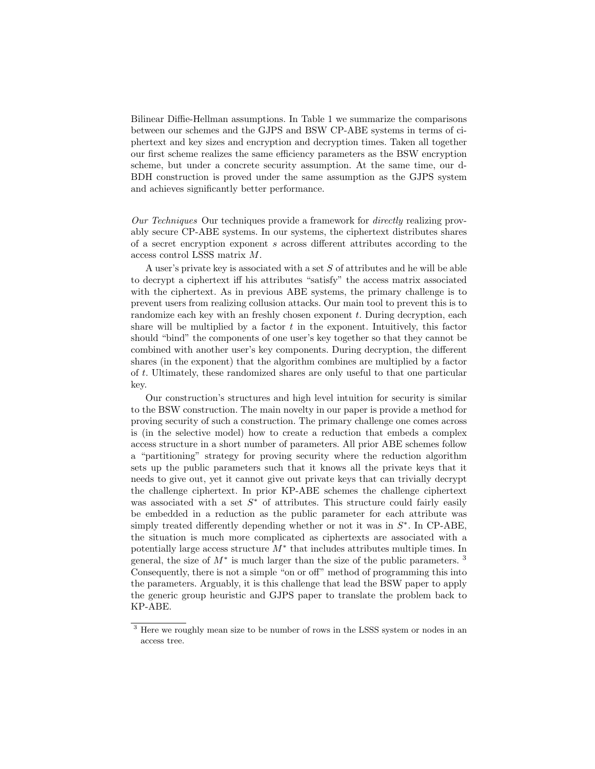Bilinear Diffie-Hellman assumptions. In Table 1 we summarize the comparisons between our schemes and the GJPS and BSW CP-ABE systems in terms of ciphertext and key sizes and encryption and decryption times. Taken all together our first scheme realizes the same efficiency parameters as the BSW encryption scheme, but under a concrete security assumption. At the same time, our d-BDH construction is proved under the same assumption as the GJPS system and achieves significantly better performance.

Our Techniques Our techniques provide a framework for directly realizing provably secure CP-ABE systems. In our systems, the ciphertext distributes shares of a secret encryption exponent s across different attributes according to the access control LSSS matrix M.

A user's private key is associated with a set  $S$  of attributes and he will be able to decrypt a ciphertext iff his attributes "satisfy" the access matrix associated with the ciphertext. As in previous ABE systems, the primary challenge is to prevent users from realizing collusion attacks. Our main tool to prevent this is to randomize each key with an freshly chosen exponent  $t$ . During decryption, each share will be multiplied by a factor  $t$  in the exponent. Intuitively, this factor should "bind" the components of one user's key together so that they cannot be combined with another user's key components. During decryption, the different shares (in the exponent) that the algorithm combines are multiplied by a factor of t. Ultimately, these randomized shares are only useful to that one particular key.

Our construction's structures and high level intuition for security is similar to the BSW construction. The main novelty in our paper is provide a method for proving security of such a construction. The primary challenge one comes across is (in the selective model) how to create a reduction that embeds a complex access structure in a short number of parameters. All prior ABE schemes follow a "partitioning" strategy for proving security where the reduction algorithm sets up the public parameters such that it knows all the private keys that it needs to give out, yet it cannot give out private keys that can trivially decrypt the challenge ciphertext. In prior KP-ABE schemes the challenge ciphertext was associated with a set  $S^*$  of attributes. This structure could fairly easily be embedded in a reduction as the public parameter for each attribute was simply treated differently depending whether or not it was in  $S^*$ . In CP-ABE, the situation is much more complicated as ciphertexts are associated with a potentially large access structure  $M^*$  that includes attributes multiple times. In general, the size of  $M^*$  is much larger than the size of the public parameters.<sup>3</sup> Consequently, there is not a simple "on or off" method of programming this into the parameters. Arguably, it is this challenge that lead the BSW paper to apply the generic group heuristic and GJPS paper to translate the problem back to KP-ABE.

<sup>&</sup>lt;sup>3</sup> Here we roughly mean size to be number of rows in the LSSS system or nodes in an access tree.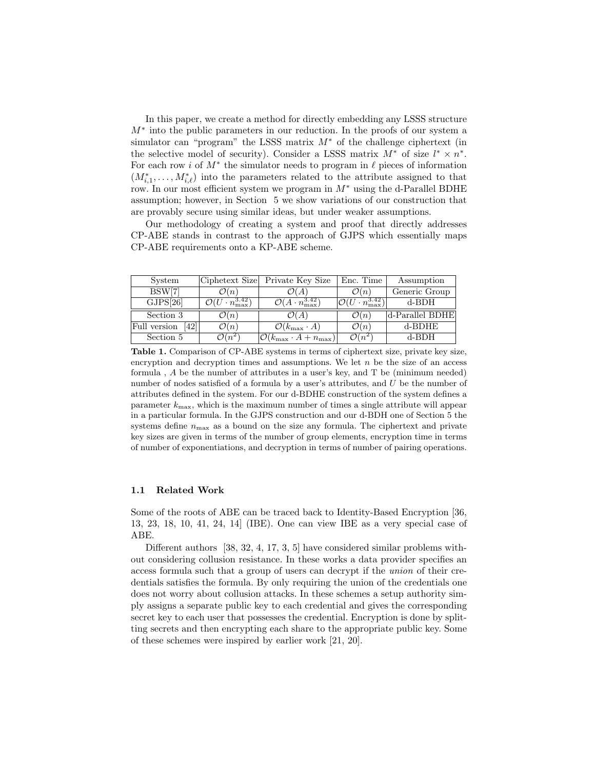In this paper, we create a method for directly embedding any LSSS structure M<sup>∗</sup> into the public parameters in our reduction. In the proofs of our system a simulator can "program" the LSSS matrix  $M^*$  of the challenge ciphertext (in the selective model of security). Consider a LSSS matrix  $M^*$  of size  $l^* \times n^*$ . For each row i of  $M^*$  the simulator needs to program in  $\ell$  pieces of information  $(M^*_{i,1},\ldots,M^*_{i,\ell})$  into the parameters related to the attribute assigned to that row. In our most efficient system we program in  $M^*$  using the d-Parallel BDHE assumption; however, in Section 5 we show variations of our construction that are provably secure using similar ideas, but under weaker assumptions.

Our methodology of creating a system and proof that directly addresses CP-ABE stands in contrast to the approach of GJPS which essentially maps CP-ABE requirements onto a KP-ABE scheme.

| System                |                                                | Ciphetext Size Private Key Size            | Enc. Time                                         | Assumption      |
|-----------------------|------------------------------------------------|--------------------------------------------|---------------------------------------------------|-----------------|
| BSW[7]                | $\mathcal{O}(n)$                               | $\mathcal{O}(A)$                           | $\mathcal{O}(n)$                                  | Generic Group   |
| GJPS[26]              | $\cdot n_{\rm max}^{3.42})$<br>$\mathcal{O}(U$ | $\mathcal{O}(A \cdot n_{\max}^{3.42})$     | $\overline{\mathcal{O}(U \cdot n_{\max}^{3.42})}$ | $d$ - $BDH$     |
| Section 3             | $\mathcal{O}(n)$                               | $\mathcal{O}(A)$                           | $\mathcal{O}(n)$                                  | d-Parallel BDHE |
| Full version<br>[42]] | $\mathcal{O}(n)$                               | $\mathcal{O}(k_{\max}\cdot A)$             | $\mathcal{O}(n)$                                  | $d$ -BDHE       |
| Section 5             | $\mathcal{O}(n^2)$                             | $\mathcal{O}(k_{\max} \cdot A + n_{\max})$ | $\mathcal{O}(n^2)$                                | d-BDH           |

Table 1. Comparison of CP-ABE systems in terms of ciphertext size, private key size, encryption and decryption times and assumptions. We let  $n$  be the size of an access formula , A be the number of attributes in a user's key, and T be (minimum needed) number of nodes satisfied of a formula by a user's attributes, and U be the number of attributes defined in the system. For our d-BDHE construction of the system defines a parameter  $k_{\text{max}}$ , which is the maximum number of times a single attribute will appear in a particular formula. In the GJPS construction and our d-BDH one of Section 5 the systems define  $n_{\text{max}}$  as a bound on the size any formula. The ciphertext and private key sizes are given in terms of the number of group elements, encryption time in terms of number of exponentiations, and decryption in terms of number of pairing operations.

## 1.1 Related Work

Some of the roots of ABE can be traced back to Identity-Based Encryption [36, 13, 23, 18, 10, 41, 24, 14] (IBE). One can view IBE as a very special case of ABE.

Different authors [38, 32, 4, 17, 3, 5] have considered similar problems without considering collusion resistance. In these works a data provider specifies an access formula such that a group of users can decrypt if the union of their credentials satisfies the formula. By only requiring the union of the credentials one does not worry about collusion attacks. In these schemes a setup authority simply assigns a separate public key to each credential and gives the corresponding secret key to each user that possesses the credential. Encryption is done by splitting secrets and then encrypting each share to the appropriate public key. Some of these schemes were inspired by earlier work [21, 20].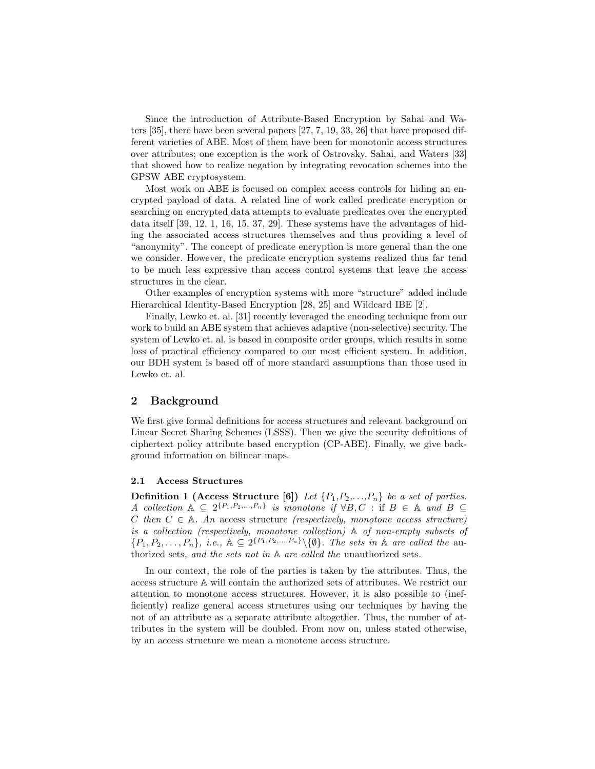Since the introduction of Attribute-Based Encryption by Sahai and Waters [35], there have been several papers [27, 7, 19, 33, 26] that have proposed different varieties of ABE. Most of them have been for monotonic access structures over attributes; one exception is the work of Ostrovsky, Sahai, and Waters [33] that showed how to realize negation by integrating revocation schemes into the GPSW ABE cryptosystem.

Most work on ABE is focused on complex access controls for hiding an encrypted payload of data. A related line of work called predicate encryption or searching on encrypted data attempts to evaluate predicates over the encrypted data itself [39, 12, 1, 16, 15, 37, 29]. These systems have the advantages of hiding the associated access structures themselves and thus providing a level of "anonymity". The concept of predicate encryption is more general than the one we consider. However, the predicate encryption systems realized thus far tend to be much less expressive than access control systems that leave the access structures in the clear.

Other examples of encryption systems with more "structure" added include Hierarchical Identity-Based Encryption [28, 25] and Wildcard IBE [2].

Finally, Lewko et. al. [31] recently leveraged the encoding technique from our work to build an ABE system that achieves adaptive (non-selective) security. The system of Lewko et. al. is based in composite order groups, which results in some loss of practical efficiency compared to our most efficient system. In addition, our BDH system is based off of more standard assumptions than those used in Lewko et. al.

## 2 Background

We first give formal definitions for access structures and relevant background on Linear Secret Sharing Schemes (LSSS). Then we give the security definitions of ciphertext policy attribute based encryption (CP-ABE). Finally, we give background information on bilinear maps.

### 2.1 Access Structures

**Definition 1 (Access Structure [6])** Let  $\{P_1, P_2, \ldots, P_n\}$  be a set of parties. A collection  $A \subseteq 2^{\{P_1, P_2, ..., P_n\}}$  is monotone if  $\forall B, C$ : if  $B \in A$  and  $B \subseteq$ C then  $C \in A$ . An access structure (respectively, monotone access structure) is a collection (respectively, monotone collection) A of non-empty subsets of  $\{P_1, P_2, \ldots, P_n\}, i.e., \mathbb{A} \subseteq 2^{\{P_1, P_2, \ldots, P_n\}} \setminus \{\emptyset\}.$  The sets in A are called the authorized sets, and the sets not in A are called the unauthorized sets.

In our context, the role of the parties is taken by the attributes. Thus, the access structure A will contain the authorized sets of attributes. We restrict our attention to monotone access structures. However, it is also possible to (inefficiently) realize general access structures using our techniques by having the not of an attribute as a separate attribute altogether. Thus, the number of attributes in the system will be doubled. From now on, unless stated otherwise, by an access structure we mean a monotone access structure.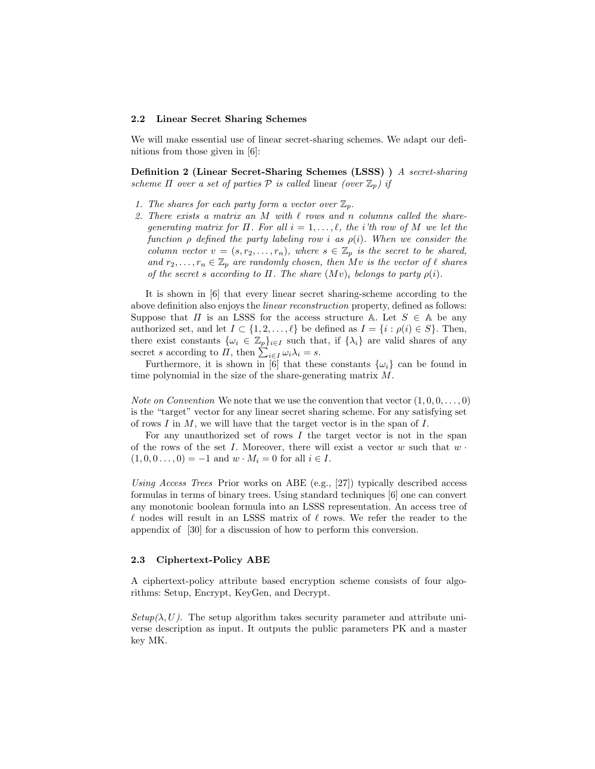### 2.2 Linear Secret Sharing Schemes

We will make essential use of linear secret-sharing schemes. We adapt our definitions from those given in [6]:

Definition 2 (Linear Secret-Sharing Schemes (LSSS) ) A secret-sharing scheme  $\Pi$  over a set of parties  $P$  is called linear (over  $\mathbb{Z}_p$ ) if

- 1. The shares for each party form a vector over  $\mathbb{Z}_p$ .
- 2. There exists a matrix an  $M$  with  $\ell$  rows and n columns called the sharegenerating matrix for  $\Pi$ . For all  $i = 1, \ldots, \ell$ , the *i*'th row of M we let the function  $\rho$  defined the party labeling row i as  $\rho(i)$ . When we consider the column vector  $v = (s, r_2, \ldots, r_n)$ , where  $s \in \mathbb{Z}_p$  is the secret to be shared, and  $r_2, \ldots, r_n \in \mathbb{Z}_p$  are randomly chosen, then Mv is the vector of  $\ell$  shares of the secret s according to  $\Pi$ . The share  $(Mv)_i$  belongs to party  $\rho(i)$ .

It is shown in [6] that every linear secret sharing-scheme according to the above definition also enjoys the linear reconstruction property, defined as follows: Suppose that  $\Pi$  is an LSSS for the access structure A. Let  $S \in A$  be any authorized set, and let  $I \subset \{1, 2, \ldots, \ell\}$  be defined as  $I = \{i : \rho(i) \in S\}$ . Then, there exist constants  $\{\omega_i \in \mathbb{Z}_p\}_{i\in I}$  such that, if  $\{\lambda_i\}$  are valid shares of any secret s according to  $\Pi$ , then  $\sum_{i \in I} \omega_i \lambda_i = s$ .

Furthermore, it is shown in [6] that these constants  $\{\omega_i\}$  can be found in time polynomial in the size of the share-generating matrix M.

*Note on Convention* We note that we use the convention that vector  $(1, 0, 0, \ldots, 0)$ is the "target" vector for any linear secret sharing scheme. For any satisfying set of rows  $I$  in  $M$ , we will have that the target vector is in the span of  $I$ .

For any unauthorized set of rows  $I$  the target vector is not in the span of the rows of the set I. Moreover, there will exist a vector  $w$  such that  $w$ .  $(1, 0, 0 \ldots, 0) = -1$  and  $w \cdot M_i = 0$  for all  $i \in I$ .

Using Access Trees Prior works on ABE (e.g., [27]) typically described access formulas in terms of binary trees. Using standard techniques [6] one can convert any monotonic boolean formula into an LSSS representation. An access tree of  $\ell$  nodes will result in an LSSS matrix of  $\ell$  rows. We refer the reader to the appendix of [30] for a discussion of how to perform this conversion.

### 2.3 Ciphertext-Policy ABE

A ciphertext-policy attribute based encryption scheme consists of four algorithms: Setup, Encrypt, KeyGen, and Decrypt.

 $Setup(\lambda, U)$ . The setup algorithm takes security parameter and attribute universe description as input. It outputs the public parameters PK and a master key MK.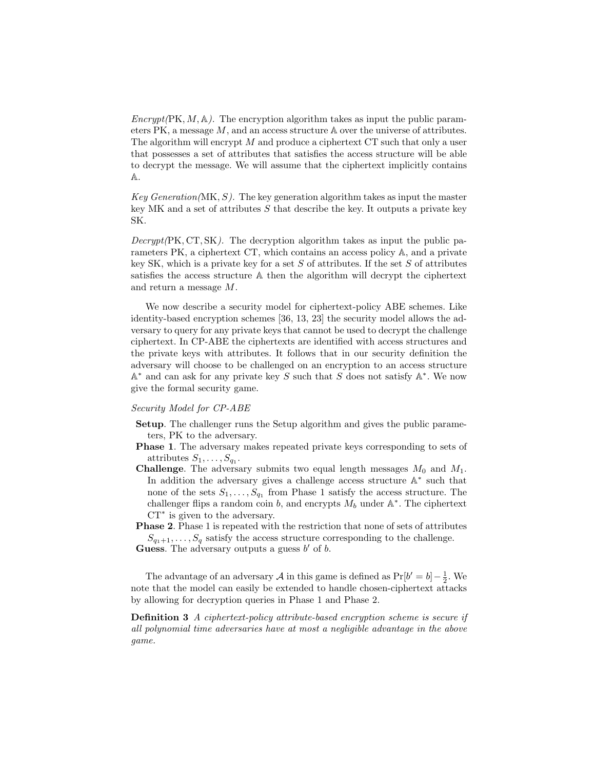$\text{Encrypt(PK}, M, A)$ . The encryption algorithm takes as input the public parameters PK, a message  $M$ , and an access structure  $A$  over the universe of attributes. The algorithm will encrypt  $M$  and produce a ciphertext CT such that only a user that possesses a set of attributes that satisfies the access structure will be able to decrypt the message. We will assume that the ciphertext implicitly contains A.

 $Key Generation(MK, S)$ . The key generation algorithm takes as input the master key MK and a set of attributes  $S$  that describe the key. It outputs a private key SK.

 $Decrypt(PK, CT, SK)$ . The decryption algorithm takes as input the public parameters PK, a ciphertext CT, which contains an access policy A, and a private key SK, which is a private key for a set  $S$  of attributes. If the set  $S$  of attributes satisfies the access structure A then the algorithm will decrypt the ciphertext and return a message M.

We now describe a security model for ciphertext-policy ABE schemes. Like identity-based encryption schemes [36, 13, 23] the security model allows the adversary to query for any private keys that cannot be used to decrypt the challenge ciphertext. In CP-ABE the ciphertexts are identified with access structures and the private keys with attributes. It follows that in our security definition the adversary will choose to be challenged on an encryption to an access structure  $A^*$  and can ask for any private key S such that S does not satisfy  $A^*$ . We now give the formal security game.

#### Security Model for CP-ABE

- Setup. The challenger runs the Setup algorithm and gives the public parameters, PK to the adversary.
- Phase 1. The adversary makes repeated private keys corresponding to sets of attributes  $S_1, \ldots, S_{q_1}$ .
- **Challenge.** The adversary submits two equal length messages  $M_0$  and  $M_1$ . In addition the adversary gives a challenge access structure A<sup>\*</sup> such that none of the sets  $S_1, \ldots, S_{q_1}$  from Phase 1 satisfy the access structure. The challenger flips a random coin b, and encrypts  $M_b$  under  $\mathbb{A}^*$ . The ciphertext CT<sup>\*</sup> is given to the adversary.

Phase 2. Phase 1 is repeated with the restriction that none of sets of attributes  $S_{q_1+1}, \ldots, S_q$  satisfy the access structure corresponding to the challenge.

Guess. The adversary outputs a guess  $b'$  of  $b$ .

The advantage of an adversary  $A$  in this game is defined as  $Pr[b' = b] - \frac{1}{2}$ . We note that the model can easily be extended to handle chosen-ciphertext attacks by allowing for decryption queries in Phase 1 and Phase 2.

Definition 3 A ciphertext-policy attribute-based encryption scheme is secure if all polynomial time adversaries have at most a negligible advantage in the above game.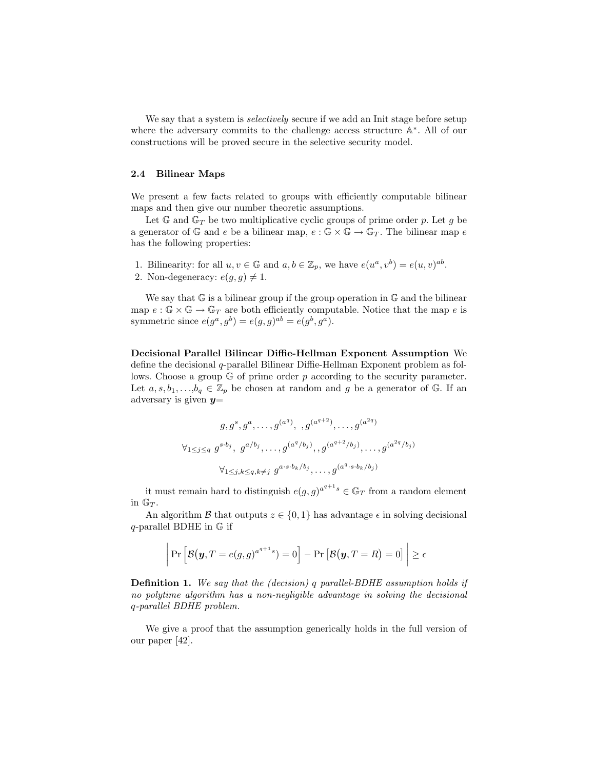We say that a system is *selectively* secure if we add an Init stage before setup where the adversary commits to the challenge access structure A<sup>\*</sup>. All of our constructions will be proved secure in the selective security model.

#### 2.4 Bilinear Maps

We present a few facts related to groups with efficiently computable bilinear maps and then give our number theoretic assumptions.

Let  $\mathbb{G}$  and  $\mathbb{G}_T$  be two multiplicative cyclic groups of prime order p. Let g be a generator of G and e be a bilinear map,  $e : \mathbb{G} \times \mathbb{G} \to \mathbb{G}_T$ . The bilinear map e has the following properties:

- 1. Bilinearity: for all  $u, v \in \mathbb{G}$  and  $a, b \in \mathbb{Z}_p$ , we have  $e(u^a, v^b) = e(u, v)^{ab}$ .
- 2. Non-degeneracy:  $e(g, g) \neq 1$ .

We say that  $\mathbb G$  is a bilinear group if the group operation in  $\mathbb G$  and the bilinear map  $e : \mathbb{G} \times \mathbb{G} \to \mathbb{G}_T$  are both efficiently computable. Notice that the map e is symmetric since  $e(g^a, g^b) = e(g, g)^{ab} = e(g^b, g^a)$ .

Decisional Parallel Bilinear Diffie-Hellman Exponent Assumption We define the decisional  $q$ -parallel Bilinear Diffie-Hellman Exponent problem as follows. Choose a group  $\mathbb{G}$  of prime order p according to the security parameter. Let  $a, s, b_1, \ldots, b_q \in \mathbb{Z}_p$  be chosen at random and g be a generator of G. If an adversary is given  $y=$ 

$$
g, g^s, g^a, \dots, g^{(a^q)}, g^{(a^{q+2})}, \dots, g^{(a^{2q})}
$$
  

$$
\forall_{1 \leq j \leq q} g^{s \cdot b_j}, g^{a/b_j}, \dots, g^{(a^q/b_j)}, g^{(a^{q+2}/b_j)}, \dots, g^{(a^{2q}/b_j)}
$$
  

$$
\forall_{1 \leq j,k \leq q, k \neq j} g^{a \cdot s \cdot b_k/b_j}, \dots, g^{(a^q \cdot s \cdot b_k/b_j)}
$$

it must remain hard to distinguish  $e(g, g)^{a^{q+1}s} \in \mathbb{G}_T$  from a random element in  $\mathbb{G}_T$ .

An algorithm B that outputs  $z \in \{0, 1\}$  has advantage  $\epsilon$  in solving decisional  $q$ -parallel BDHE in  $\mathbb G$  if

$$
\left| \Pr \left[ \mathcal{B}(\boldsymbol{y}, T = e(g, g)^{a^{q+1}s}) = 0 \right] - \Pr \left[ \mathcal{B}(\boldsymbol{y}, T = R) = 0 \right] \right| \ge \epsilon
$$

Definition 1. We say that the (decision) q parallel-BDHE assumption holds if no polytime algorithm has a non-negligible advantage in solving the decisional q-parallel BDHE problem.

We give a proof that the assumption generically holds in the full version of our paper [42].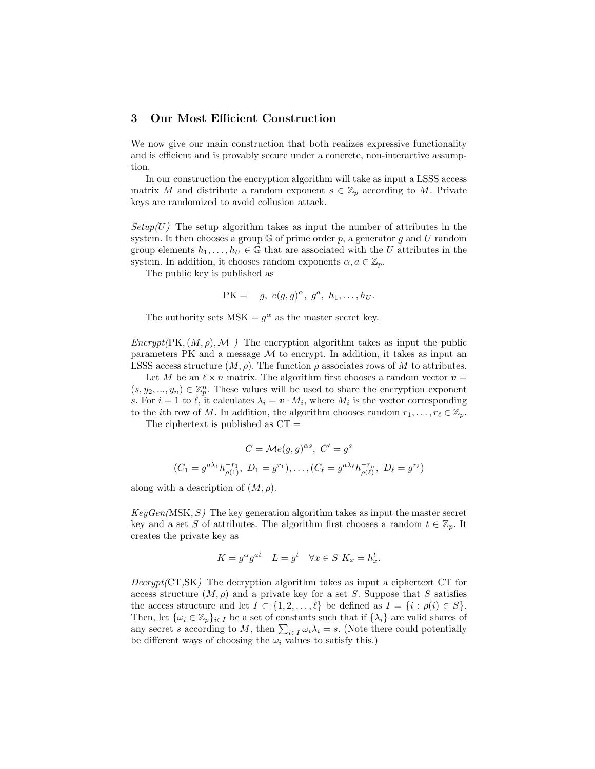## 3 Our Most Efficient Construction

We now give our main construction that both realizes expressive functionality and is efficient and is provably secure under a concrete, non-interactive assumption.

In our construction the encryption algorithm will take as input a LSSS access matrix M and distribute a random exponent  $s \in \mathbb{Z}_p$  according to M. Private keys are randomized to avoid collusion attack.

 $Setup(U)$  The setup algorithm takes as input the number of attributes in the system. It then chooses a group  $\mathbb G$  of prime order p, a generator g and U random group elements  $h_1, \ldots, h_U \in \mathbb{G}$  that are associated with the U attributes in the system. In addition, it chooses random exponents  $\alpha, a \in \mathbb{Z}_p$ .

The public key is published as

$$
PK = g, e(g,g)^{\alpha}, g^{a}, h_1, \ldots, h_U.
$$

The authority sets  $MSK = g^{\alpha}$  as the master secret key.

 $\text{Encrypt}(PK,(M,\rho),\mathcal{M})$  The encryption algorithm takes as input the public parameters PK and a message  $\mathcal M$  to encrypt. In addition, it takes as input an LSSS access structure  $(M, \rho)$ . The function  $\rho$  associates rows of M to attributes.

Let M be an  $\ell \times n$  matrix. The algorithm first chooses a random vector  $v =$  $(s, y_2, ..., y_n) \in \mathbb{Z}_p^n$ . These values will be used to share the encryption exponent s. For  $i = 1$  to  $\ell$ , it calculates  $\lambda_i = \mathbf{v} \cdot M_i$ , where  $M_i$  is the vector corresponding to the *i*th row of M. In addition, the algorithm chooses random  $r_1, \ldots, r_\ell \in \mathbb{Z}_p$ .

The ciphertext is published as  $CT =$ 

$$
C = \mathcal{M}e(g, g)^{\alpha s}, \ C' = g^{s}
$$
  

$$
(C_1 = g^{a\lambda_1}h_{\rho(1)}^{-r_1}, \ D_1 = g^{r_1}), \dots, (C_\ell = g^{a\lambda_\ell}h_{\rho(\ell)}^{-r_n}, \ D_\ell = g^{r_\ell})
$$

along with a description of  $(M, \rho)$ .

 $KeyGen(MSK, S)$  The key generation algorithm takes as input the master secret key and a set S of attributes. The algorithm first chooses a random  $t \in \mathbb{Z}_p$ . It creates the private key as

$$
K = g^{\alpha} g^{at} \quad L = g^t \quad \forall x \in S \; K_x = h^t_x.
$$

 $Decrypt$ (CT,SK) The decryption algorithm takes as input a ciphertext CT for access structure  $(M, \rho)$  and a private key for a set S. Suppose that S satisfies the access structure and let  $I \subset \{1, 2, ..., \ell\}$  be defined as  $I = \{i : \rho(i) \in S\}.$ Then, let  $\{\omega_i \in \mathbb{Z}_p\}_{i\in I}$  be a set of constants such that if  $\{\lambda_i\}$  are valid shares of any secret s according to M, then  $\sum_{i \in I} \omega_i \lambda_i = s$ . (Note there could potentially be different ways of choosing the  $\omega_i$  values to satisfy this.)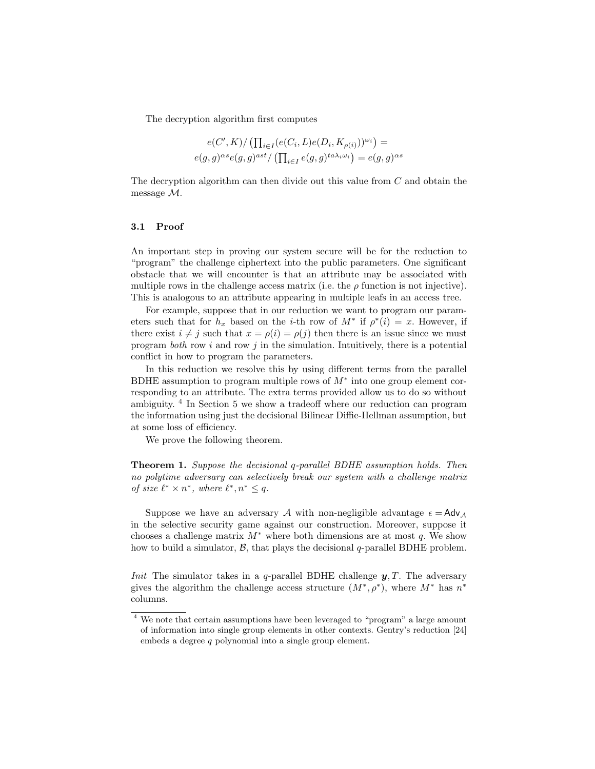The decryption algorithm first computes

$$
e(C', K)/(\prod_{i \in I} (e(C_i, L)e(D_i, K_{\rho(i)}))^{\omega_i}) =
$$
  

$$
e(g, g)^{\alpha s}e(g, g)^{\alpha s}/(\prod_{i \in I} e(g, g)^{\alpha \lambda_i \omega_i}) = e(g, g)^{\alpha s}
$$

The decryption algorithm can then divide out this value from C and obtain the message M.

## 3.1 Proof

An important step in proving our system secure will be for the reduction to "program" the challenge ciphertext into the public parameters. One significant obstacle that we will encounter is that an attribute may be associated with multiple rows in the challenge access matrix (i.e. the  $\rho$  function is not injective). This is analogous to an attribute appearing in multiple leafs in an access tree.

For example, suppose that in our reduction we want to program our parameters such that for  $h_x$  based on the *i*-th row of  $M^*$  if  $\rho^*(i) = x$ . However, if there exist  $i \neq j$  such that  $x = \rho(i) = \rho(j)$  then there is an issue since we must program both row i and row j in the simulation. Intuitively, there is a potential conflict in how to program the parameters.

In this reduction we resolve this by using different terms from the parallel BDHE assumption to program multiple rows of  $M^*$  into one group element corresponding to an attribute. The extra terms provided allow us to do so without ambiguity. <sup>4</sup> In Section 5 we show a tradeoff where our reduction can program the information using just the decisional Bilinear Diffie-Hellman assumption, but at some loss of efficiency.

We prove the following theorem.

Theorem 1. Suppose the decisional q-parallel BDHE assumption holds. Then no polytime adversary can selectively break our system with a challenge matrix of size  $\ell^* \times n^*$ , where  $\ell^*, n^* \leq q$ .

Suppose we have an adversary A with non-negligible advantage  $\epsilon = \mathsf{Adv}_{\mathcal{A}}$ in the selective security game against our construction. Moreover, suppose it chooses a challenge matrix  $M^*$  where both dimensions are at most q. We show how to build a simulator,  $\beta$ , that plays the decisional q-parallel BDHE problem.

*Init* The simulator takes in a q-parallel BDHE challenge  $y$ , T. The adversary gives the algorithm the challenge access structure  $(M^*, \rho^*)$ , where  $M^*$  has  $n^*$ columns.

<sup>4</sup> We note that certain assumptions have been leveraged to "program" a large amount of information into single group elements in other contexts. Gentry's reduction [24] embeds a degree q polynomial into a single group element.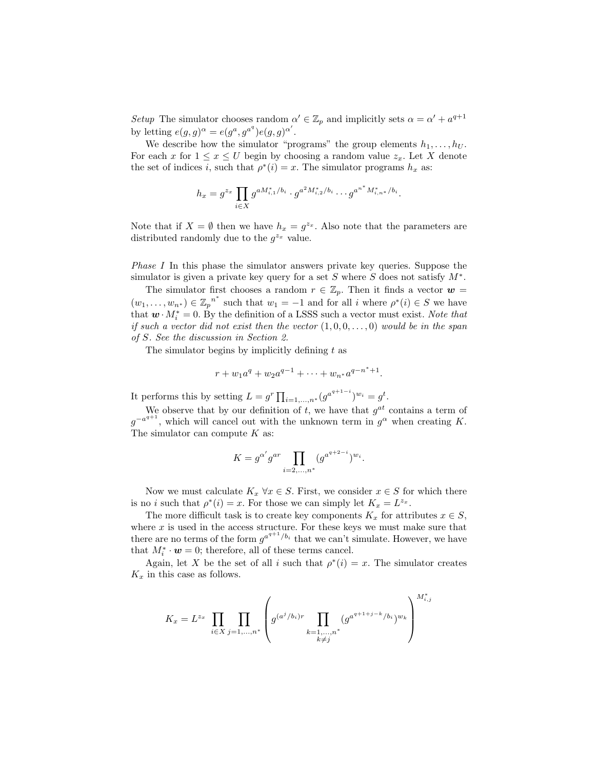Setup The simulator chooses random  $\alpha' \in \mathbb{Z}_p$  and implicitly sets  $\alpha = \alpha' + a^{q+1}$ by letting  $e(g,g)^\alpha = e(g^a, g^{a^q})e(g,g)^{\alpha'}$ .

We describe how the simulator "programs" the group elements  $h_1, \ldots, h_U$ . For each x for  $1 \le x \le U$  begin by choosing a random value  $z_x$ . Let X denote the set of indices i, such that  $\rho^*(i) = x$ . The simulator programs  $h_x$  as:

$$
h_x = g^{z_x} \prod_{i \in X} g^{a M_{i,1}^* / b_i} \cdot g^{a^2 M_{i,2}^* / b_i} \cdots g^{a^{n^*} M_{i,n^*}^* / b_i}.
$$

Note that if  $X = \emptyset$  then we have  $h_x = g^{z_x}$ . Also note that the parameters are distributed randomly due to the  $g^{z_x}$  value.

Phase I In this phase the simulator answers private key queries. Suppose the simulator is given a private key query for a set  $S$  where  $S$  does not satisfy  $M^*$ .

The simulator first chooses a random  $r \in \mathbb{Z}_p$ . Then it finds a vector  $w =$  $(w_1, \ldots, w_{n^*}) \in \mathbb{Z}_p^{n^*}$  such that  $w_1 = -1$  and for all i where  $\rho^*(i) \in S$  we have that  $\mathbf{w} \cdot M_i^* = 0$ . By the definition of a LSSS such a vector must exist. Note that if such a vector did not exist then the vector  $(1, 0, 0, \ldots, 0)$  would be in the span of S. See the discussion in Section 2.

The simulator begins by implicitly defining  $t$  as

$$
r + w_1 a^q + w_2 a^{q-1} + \dots + w_{n^*} a^{q-n^*+1}.
$$

It performs this by setting  $L = g^r \prod_{i=1,\dots,n^*} (g^{a^{q+1-i}})^{w_i} = g^t$ .

We observe that by our definition of t, we have that  $g^{at}$  contains a term of  $g^{-a^{q+1}}$ , which will cancel out with the unknown term in  $g^{\alpha}$  when creating K. The simulator can compute  $K$  as:

$$
K = g^{\alpha'} g^{ar} \prod_{i=2,\dots,n^*} (g^{a^{q+2-i}})^{w_i}.
$$

Now we must calculate  $K_x \,\forall x \in S$ . First, we consider  $x \in S$  for which there is no *i* such that  $\rho^*(i) = x$ . For those we can simply let  $K_x = L^{z_x}$ .

The more difficult task is to create key components  $K_x$  for attributes  $x \in S$ , where  $x$  is used in the access structure. For these keys we must make sure that there are no terms of the form  $g^{a^{q+1}/b_i}$  that we can't simulate. However, we have that  $M_i^* \cdot \mathbf{w} = 0$ ; therefore, all of these terms cancel.

Again, let X be the set of all i such that  $\rho^*(i) = x$ . The simulator creates  $K_x$  in this case as follows.

$$
K_x = L^{z_x} \prod_{i \in X} \prod_{j=1,...,n^*} \left( g^{(a^j/b_i)r} \prod_{\substack{k=1,...,n^* \\ k \neq j}} (g^{a^{q+1+j-k}/b_i})^{w_k} \right)^{M_{i,j}^*}
$$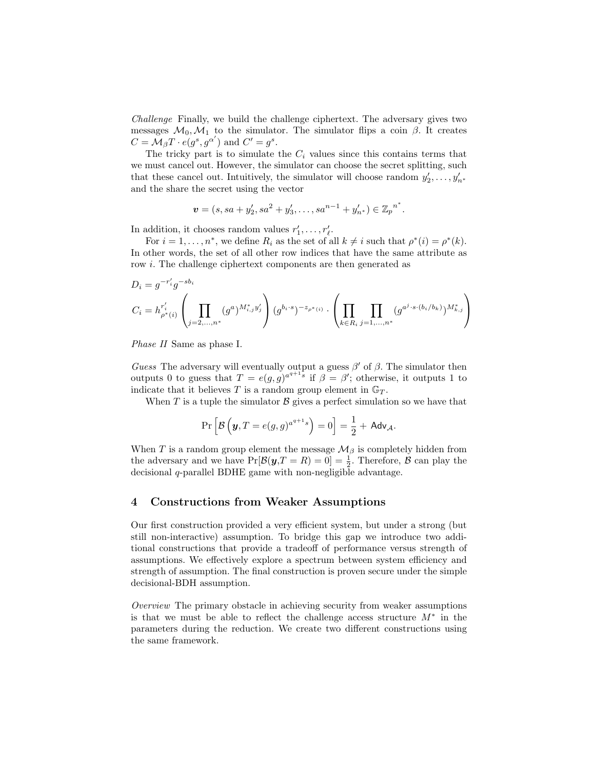Challenge Finally, we build the challenge ciphertext. The adversary gives two messages  $\mathcal{M}_0, \mathcal{M}_1$  to the simulator. The simulator flips a coin  $\beta$ . It creates  $C = \overline{\mathcal{M}}_{\beta} T \cdot e(g^s, g^{\alpha'})$  and  $C' = g^s$ .

The tricky part is to simulate the  $C_i$  values since this contains terms that we must cancel out. However, the simulator can choose the secret splitting, such that these cancel out. Intuitively, the simulator will choose random  $y'_2, \ldots, y'_{n^*}$ and the share the secret using the vector

$$
\mathbf{v} = (s, sa + y_2', sa^2 + y_3', \dots, sa^{n-1} + y_{n^*}') \in \mathbb{Z}_p^{n^*}.
$$

In addition, it chooses random values  $r'_1, \ldots, r'_{\ell}$ .

For  $i = 1, ..., n^*$ , we define  $R_i$  as the set of all  $k \neq i$  such that  $\rho^*(i) = \rho^*(k)$ . In other words, the set of all other row indices that have the same attribute as row i. The challenge ciphertext components are then generated as

$$
D_i = g^{-r'_i} g^{-sb_i}
$$
  
\n
$$
C_i = h_{\rho^*(i)}^{r'_i} \left( \prod_{j=2,\ldots,n^*} (g^a)^{M^*_{i,j} y'_j} \right) (g^{b_i \cdot s})^{-z_{\rho^*(i)}} \cdot \left( \prod_{k \in R_i} \prod_{j=1,\ldots,n^*} (g^{a^j \cdot s \cdot (b_i/b_k)})^{M^*_{k,j}} \right)
$$

Phase II Same as phase I.

Guess The adversary will eventually output a guess  $\beta'$  of  $\beta$ . The simulator then outputs 0 to guess that  $T = e(g, g)^{a^{q+1}s}$  if  $\beta = \beta'$ ; otherwise, it outputs 1 to indicate that it believes  $T$  is a random group element in  $\mathbb{G}_T$ .

When T is a tuple the simulator  $\beta$  gives a perfect simulation so we have that

$$
\Pr\left[\mathcal{B}\left(\mathbf{y},T=e(g,g)^{a^{q+1}s}\right)=0\right]=\frac{1}{2}+\mathsf{Adv}_{\mathcal{A}}.
$$

When T is a random group element the message  $\mathcal{M}_{\beta}$  is completely hidden from the adversary and we have  $Pr[\mathcal{B}(\mathbf{y}, T = R) = 0] = \frac{1}{2}$ . Therefore,  $\mathcal{B}$  can play the decisional q-parallel BDHE game with non-negligible advantage.

# 4 Constructions from Weaker Assumptions

Our first construction provided a very efficient system, but under a strong (but still non-interactive) assumption. To bridge this gap we introduce two additional constructions that provide a tradeoff of performance versus strength of assumptions. We effectively explore a spectrum between system efficiency and strength of assumption. The final construction is proven secure under the simple decisional-BDH assumption.

Overview The primary obstacle in achieving security from weaker assumptions is that we must be able to reflect the challenge access structure  $M^*$  in the parameters during the reduction. We create two different constructions using the same framework.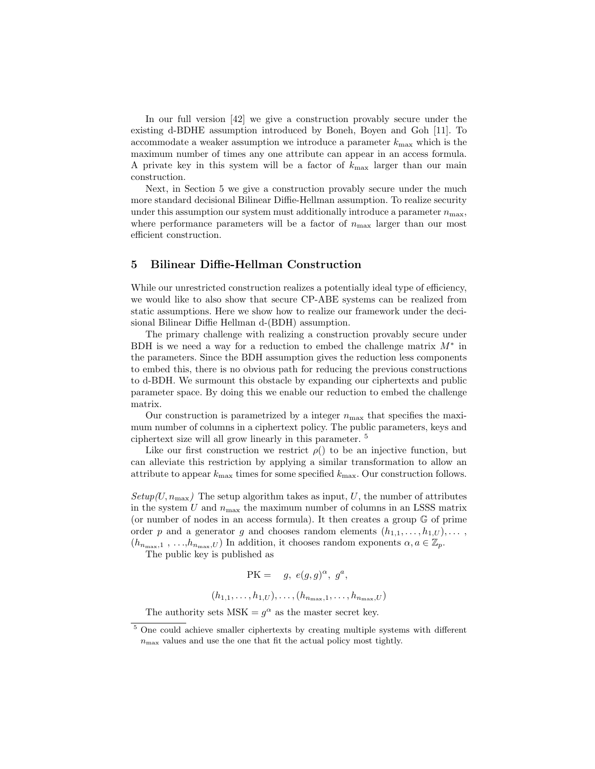In our full version [42] we give a construction provably secure under the existing d-BDHE assumption introduced by Boneh, Boyen and Goh [11]. To accommodate a weaker assumption we introduce a parameter  $k_{\text{max}}$  which is the maximum number of times any one attribute can appear in an access formula. A private key in this system will be a factor of  $k_{\text{max}}$  larger than our main construction.

Next, in Section 5 we give a construction provably secure under the much more standard decisional Bilinear Diffie-Hellman assumption. To realize security under this assumption our system must additionally introduce a parameter  $n_{\text{max}}$ , where performance parameters will be a factor of  $n_{\text{max}}$  larger than our most efficient construction.

## 5 Bilinear Diffie-Hellman Construction

While our unrestricted construction realizes a potentially ideal type of efficiency, we would like to also show that secure CP-ABE systems can be realized from static assumptions. Here we show how to realize our framework under the decisional Bilinear Diffie Hellman d-(BDH) assumption.

The primary challenge with realizing a construction provably secure under BDH is we need a way for a reduction to embed the challenge matrix  $M^*$  in the parameters. Since the BDH assumption gives the reduction less components to embed this, there is no obvious path for reducing the previous constructions to d-BDH. We surmount this obstacle by expanding our ciphertexts and public parameter space. By doing this we enable our reduction to embed the challenge matrix.

Our construction is parametrized by a integer  $n_{\text{max}}$  that specifies the maximum number of columns in a ciphertext policy. The public parameters, keys and ciphertext size will all grow linearly in this parameter. <sup>5</sup>

Like our first construction we restrict  $\rho()$  to be an injective function, but can alleviate this restriction by applying a similar transformation to allow an attribute to appear  $k_{\text{max}}$  times for some specified  $k_{\text{max}}$ . Our construction follows.

 $Setup(U, n_{\text{max}})$  The setup algorithm takes as input, U, the number of attributes in the system U and  $n_{\text{max}}$  the maximum number of columns in an LSSS matrix (or number of nodes in an access formula). It then creates a group G of prime order p and a generator g and chooses random elements  $(h_{1,1},\ldots,h_{1,U}),\ldots$ ,  $(h_{n_{\max},1}, ..., h_{n_{\max},U})$  In addition, it chooses random exponents  $\alpha, a \in \mathbb{Z}_p$ .

The public key is published as

PK = 
$$
g, e(g, g)^{\alpha}, g^{a},
$$
  
\n $(h_{1,1}, \ldots, h_{1,U}), \ldots, (h_{n_{\text{max}},1}, \ldots, h_{n_{\text{max}},U})$ 

The authority sets  $MSK = g^{\alpha}$  as the master secret key.

<sup>5</sup> One could achieve smaller ciphertexts by creating multiple systems with different  $n_{\text{max}}$  values and use the one that fit the actual policy most tightly.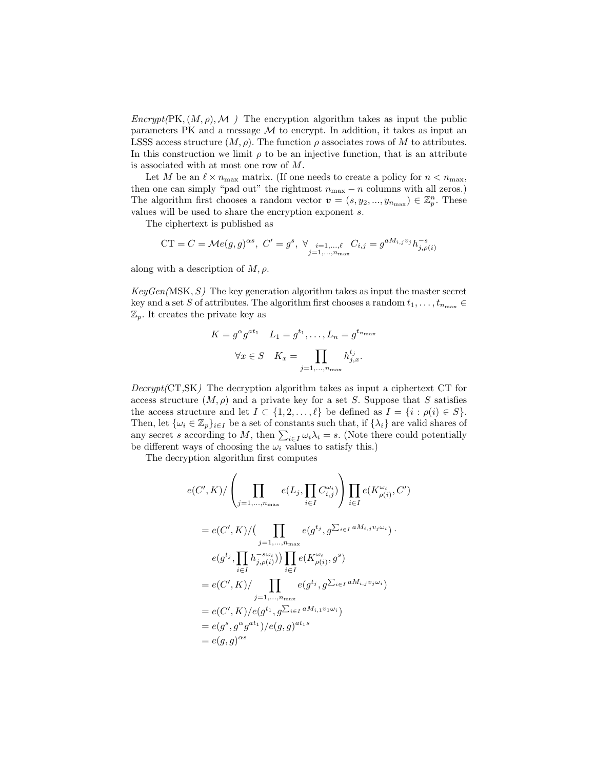$\text{Encrypt(PK}, (M, \rho), \mathcal{M})$  The encryption algorithm takes as input the public parameters PK and a message  $M$  to encrypt. In addition, it takes as input an LSSS access structure  $(M, \rho)$ . The function  $\rho$  associates rows of M to attributes. In this construction we limit  $\rho$  to be an injective function, that is an attribute is associated with at most one row of M.

Let M be an  $\ell \times n_{\text{max}}$  matrix. (If one needs to create a policy for  $n < n_{\text{max}}$ , then one can simply "pad out" the rightmost  $n_{\text{max}} - n$  columns with all zeros.) The algorithm first chooses a random vector  $\mathbf{v} = (s, y_2, ..., y_{n_{\text{max}}}) \in \mathbb{Z}_p^n$ . These values will be used to share the encryption exponent s.

The ciphertext is published as

$$
CT = C = \mathcal{M}e(g, g)^{\alpha s}, \ C' = g^{s}, \ \forall \sum_{\substack{i=1,\dots,\ell\\j=1,\dots,n_{\text{max}}}} C_{i,j} = g^{aM_{i,j}v_j} h_{j,\rho(i)}^{-s}
$$

along with a description of  $M, \rho$ .

 $KeyGen(MSK, S)$  The key generation algorithm takes as input the master secret key and a set S of attributes. The algorithm first chooses a random  $t_1, \ldots, t_{n_{\text{max}}} \in$  $\mathbb{Z}_p$ . It creates the private key as

$$
K = g^{\alpha} g^{at_1} \quad L_1 = g^{t_1}, \dots, L_n = g^{t_{n_{\text{max}}}}
$$

$$
\forall x \in S \quad K_x = \prod_{j=1,\dots,n_{\text{max}}} h_{j,x}^{t_j}.
$$

Decrypt(CT,SK) The decryption algorithm takes as input a ciphertext CT for access structure  $(M, \rho)$  and a private key for a set S. Suppose that S satisfies the access structure and let  $I \subset \{1, 2, ..., \ell\}$  be defined as  $I = \{i : \rho(i) \in S\}.$ Then, let  $\{\omega_i \in \mathbb{Z}_p\}_{i\in I}$  be a set of constants such that, if  $\{\lambda_i\}$  are valid shares of any secret s according to M, then  $\sum_{i \in I} \omega_i \lambda_i = s$ . (Note there could potentially be different ways of choosing the  $\omega_i$  values to satisfy this.)

The decryption algorithm first computes

$$
e(C', K) / \left( \prod_{j=1,...,n_{\text{max}}} e(L_j, \prod_{i \in I} C_{i,j}^{\omega_i}) \right) \prod_{i \in I} e(K_{\rho(i)}^{\omega_i}, C')
$$
  
\n
$$
= e(C', K) / \left( \prod_{j=1,...,n_{\text{max}}} e(g^{t_j}, g^{\sum_{i \in I} aM_{i,j}v_j\omega_i}) \right)
$$
  
\n
$$
e(g^{t_j}, \prod_{i \in I} h_{j,\rho(i)}^{-s\omega_i}) \prod_{i \in I} e(K_{\rho(i)}^{\omega_i}, g^s)
$$
  
\n
$$
= e(C', K) / \prod_{j=1,...,n_{\text{max}}} e(g^{t_j}, g^{\sum_{i \in I} aM_{i,j}v_j\omega_i})
$$
  
\n
$$
= e(C', K) / e(g^{t_1}, g^{\sum_{i \in I} aM_{i,1}v_1\omega_i})
$$
  
\n
$$
= e(g^s, g^\alpha g^{at_1}) / e(g, g)^{at_1 s}
$$
  
\n
$$
= e(g, g)^\alpha s
$$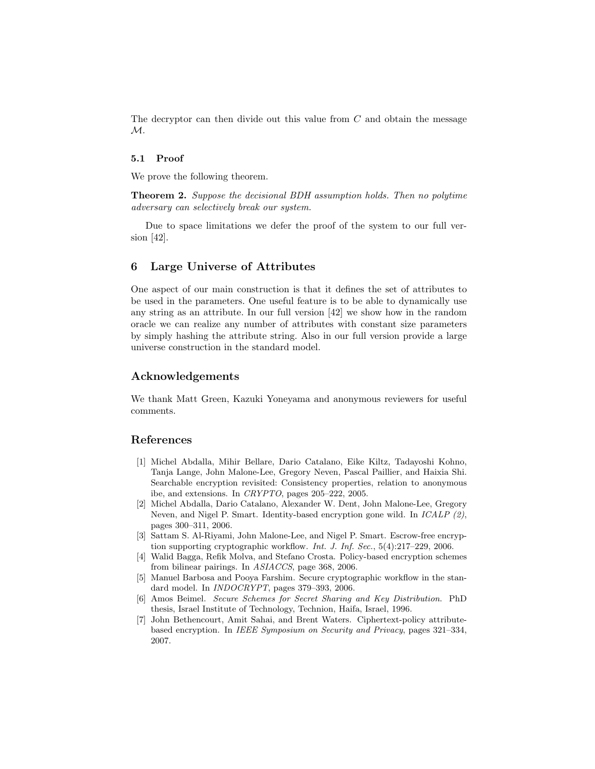The decryptor can then divide out this value from C and obtain the message M.

## 5.1 Proof

We prove the following theorem.

Theorem 2. Suppose the decisional BDH assumption holds. Then no polytime adversary can selectively break our system.

Due to space limitations we defer the proof of the system to our full version [42].

## 6 Large Universe of Attributes

One aspect of our main construction is that it defines the set of attributes to be used in the parameters. One useful feature is to be able to dynamically use any string as an attribute. In our full version [42] we show how in the random oracle we can realize any number of attributes with constant size parameters by simply hashing the attribute string. Also in our full version provide a large universe construction in the standard model.

## Acknowledgements

We thank Matt Green, Kazuki Yoneyama and anonymous reviewers for useful comments.

# References

- [1] Michel Abdalla, Mihir Bellare, Dario Catalano, Eike Kiltz, Tadayoshi Kohno, Tanja Lange, John Malone-Lee, Gregory Neven, Pascal Paillier, and Haixia Shi. Searchable encryption revisited: Consistency properties, relation to anonymous ibe, and extensions. In CRYPTO, pages 205–222, 2005.
- [2] Michel Abdalla, Dario Catalano, Alexander W. Dent, John Malone-Lee, Gregory Neven, and Nigel P. Smart. Identity-based encryption gone wild. In ICALP (2), pages 300–311, 2006.
- [3] Sattam S. Al-Riyami, John Malone-Lee, and Nigel P. Smart. Escrow-free encryption supporting cryptographic workflow. Int. J. Inf. Sec., 5(4):217–229, 2006.
- [4] Walid Bagga, Refik Molva, and Stefano Crosta. Policy-based encryption schemes from bilinear pairings. In ASIACCS, page 368, 2006.
- [5] Manuel Barbosa and Pooya Farshim. Secure cryptographic workflow in the standard model. In INDOCRYPT, pages 379-393, 2006.
- [6] Amos Beimel. Secure Schemes for Secret Sharing and Key Distribution. PhD thesis, Israel Institute of Technology, Technion, Haifa, Israel, 1996.
- [7] John Bethencourt, Amit Sahai, and Brent Waters. Ciphertext-policy attributebased encryption. In IEEE Symposium on Security and Privacy, pages 321–334, 2007.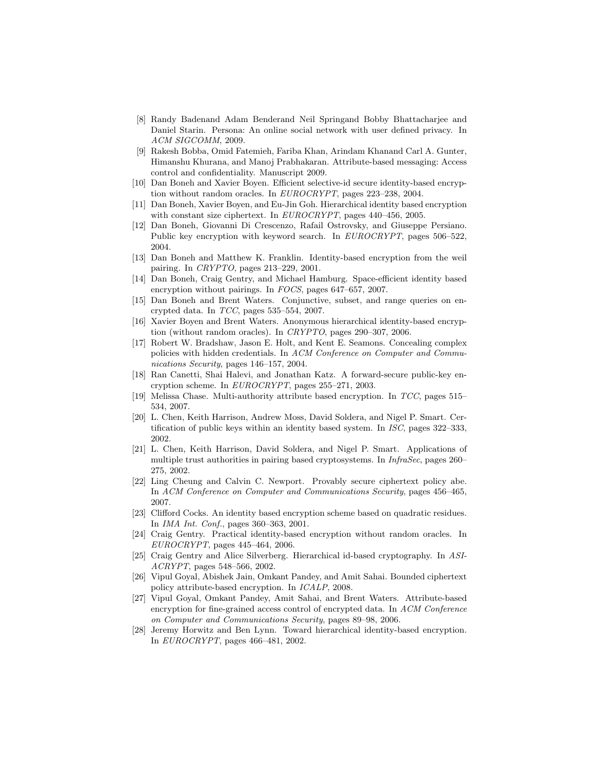- [8] Randy Badenand Adam Benderand Neil Springand Bobby Bhattacharjee and Daniel Starin. Persona: An online social network with user defined privacy. In ACM SIGCOMM, 2009.
- [9] Rakesh Bobba, Omid Fatemieh, Fariba Khan, Arindam Khanand Carl A. Gunter, Himanshu Khurana, and Manoj Prabhakaran. Attribute-based messaging: Access control and confidentiality. Manuscript 2009.
- [10] Dan Boneh and Xavier Boyen. Efficient selective-id secure identity-based encryption without random oracles. In EUROCRYPT, pages 223–238, 2004.
- [11] Dan Boneh, Xavier Boyen, and Eu-Jin Goh. Hierarchical identity based encryption with constant size ciphertext. In  $EUROCRYPT$ , pages 440–456, 2005.
- [12] Dan Boneh, Giovanni Di Crescenzo, Rafail Ostrovsky, and Giuseppe Persiano. Public key encryption with keyword search. In EUROCRYPT, pages 506–522, 2004.
- [13] Dan Boneh and Matthew K. Franklin. Identity-based encryption from the weil pairing. In CRYPTO, pages 213–229, 2001.
- [14] Dan Boneh, Craig Gentry, and Michael Hamburg. Space-efficient identity based encryption without pairings. In FOCS, pages 647–657, 2007.
- [15] Dan Boneh and Brent Waters. Conjunctive, subset, and range queries on encrypted data. In  $TCC$ , pages 535–554, 2007.
- [16] Xavier Boyen and Brent Waters. Anonymous hierarchical identity-based encryption (without random oracles). In CRYPTO, pages 290–307, 2006.
- [17] Robert W. Bradshaw, Jason E. Holt, and Kent E. Seamons. Concealing complex policies with hidden credentials. In ACM Conference on Computer and Communications Security, pages 146–157, 2004.
- [18] Ran Canetti, Shai Halevi, and Jonathan Katz. A forward-secure public-key encryption scheme. In EUROCRYPT, pages 255–271, 2003.
- [19] Melissa Chase. Multi-authority attribute based encryption. In TCC, pages 515– 534, 2007.
- [20] L. Chen, Keith Harrison, Andrew Moss, David Soldera, and Nigel P. Smart. Certification of public keys within an identity based system. In ISC, pages 322–333, 2002.
- [21] L. Chen, Keith Harrison, David Soldera, and Nigel P. Smart. Applications of multiple trust authorities in pairing based cryptosystems. In *InfraSec*, pages 260– 275, 2002.
- [22] Ling Cheung and Calvin C. Newport. Provably secure ciphertext policy abe. In ACM Conference on Computer and Communications Security, pages 456–465, 2007.
- [23] Clifford Cocks. An identity based encryption scheme based on quadratic residues. In IMA Int. Conf., pages 360–363, 2001.
- [24] Craig Gentry. Practical identity-based encryption without random oracles. In EUROCRYPT, pages 445–464, 2006.
- [25] Craig Gentry and Alice Silverberg. Hierarchical id-based cryptography. In ASI-ACRYPT, pages 548–566, 2002.
- [26] Vipul Goyal, Abishek Jain, Omkant Pandey, and Amit Sahai. Bounded ciphertext policy attribute-based encryption. In ICALP, 2008.
- [27] Vipul Goyal, Omkant Pandey, Amit Sahai, and Brent Waters. Attribute-based encryption for fine-grained access control of encrypted data. In ACM Conference on Computer and Communications Security, pages 89–98, 2006.
- [28] Jeremy Horwitz and Ben Lynn. Toward hierarchical identity-based encryption. In EUROCRYPT, pages 466–481, 2002.